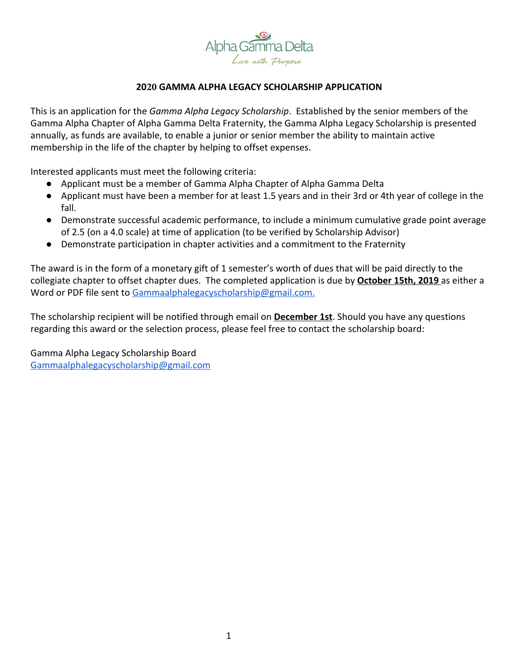

## **2020 GAMMA ALPHA LEGACY SCHOLARSHIP APPLICATION**

This is an application for the *Gamma Alpha Legacy Scholarship*. Established by the senior members of the Gamma Alpha Chapter of Alpha Gamma Delta Fraternity, the Gamma Alpha Legacy Scholarship is presented annually, as funds are available, to enable a junior or senior member the ability to maintain active membership in the life of the chapter by helping to offset expenses.

Interested applicants must meet the following criteria:

- Applicant must be a member of Gamma Alpha Chapter of Alpha Gamma Delta
- Applicant must have been a member for at least 1.5 years and in their 3rd or 4th year of college in the fall.
- Demonstrate successful academic performance, to include a minimum cumulative grade point average of 2.5 (on a 4.0 scale) at time of application (to be verified by Scholarship Advisor)
- Demonstrate participation in chapter activities and a commitment to the Fraternity

The award is in the form of a monetary gift of 1 semester's worth of dues that will be paid directly to the collegiate chapter to offset chapter dues. The completed application is due by **October 15th, 2019** as either a Word or PDF file sent to [Gammaalphalegacyscholarship@gmail.com.](mailto:Gammaalphalegacyscholarship@gmail.com)

The scholarship recipient will be notified through email on **December 1st**. Should you have any questions regarding this award or the selection process, please feel free to contact the scholarship board:

Gamma Alpha Legacy Scholarship Board [Gammaalphalegacyscholarship@gmail.com](mailto:Gammaalphalegacyscholarship@gmail.com)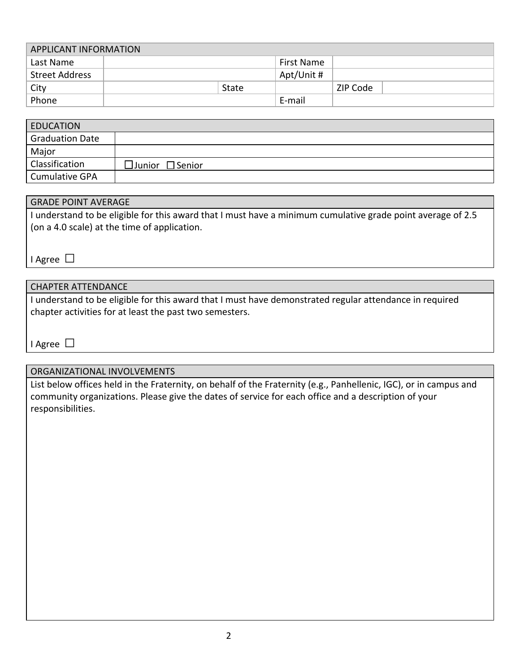| <b>APPLICANT INFORMATION</b> |  |              |            |          |  |  |
|------------------------------|--|--------------|------------|----------|--|--|
| Last Name                    |  |              | First Name |          |  |  |
| <b>Street Address</b>        |  |              | Apt/Unit # |          |  |  |
| City                         |  | <b>State</b> |            | ZIP Code |  |  |
| Phone                        |  |              | E-mail     |          |  |  |

| <b>EDUCATION</b>       |                             |
|------------------------|-----------------------------|
| <b>Graduation Date</b> |                             |
| Major                  |                             |
| Classification         | $\Box$ Junior $\Box$ Senior |
| <b>Cumulative GPA</b>  |                             |

#### GRADE POINT AVERAGE

I understand to be eligible for this award that I must have a minimum cumulative grade point average of 2.5 (on a 4.0 scale) at the time of application.

I Agree □

## CHAPTER ATTENDANCE

I understand to be eligible for this award that I must have demonstrated regular attendance in required chapter activities for at least the past two semesters.

I Agree □

#### ORGANIZATIONAL INVOLVEMENTS

List below offices held in the Fraternity, on behalf of the Fraternity (e.g., Panhellenic, IGC), or in campus and community organizations. Please give the dates of service for each office and a description of your responsibilities.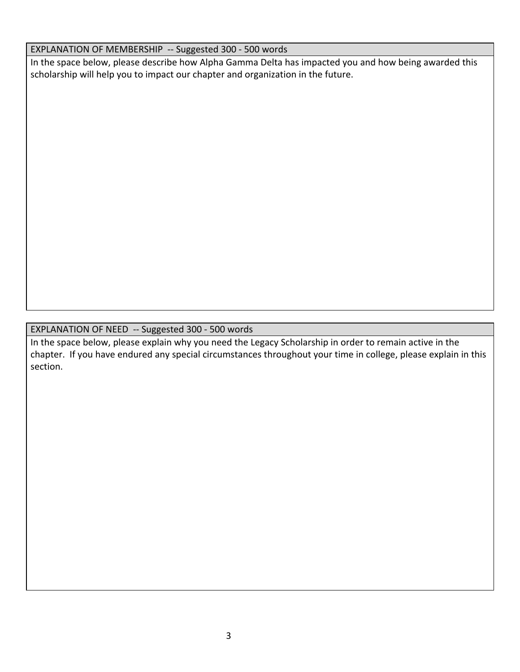## EXPLANATION OF MEMBERSHIP -- Suggested 300 - 500 words

In the space below, please describe how Alpha Gamma Delta has impacted you and how being awarded this scholarship will help you to impact our chapter and organization in the future.

# EXPLANATION OF NEED -- Suggested 300 - 500 words

In the space below, please explain why you need the Legacy Scholarship in order to remain active in the chapter. If you have endured any special circumstances throughout your time in college, please explain in this section.